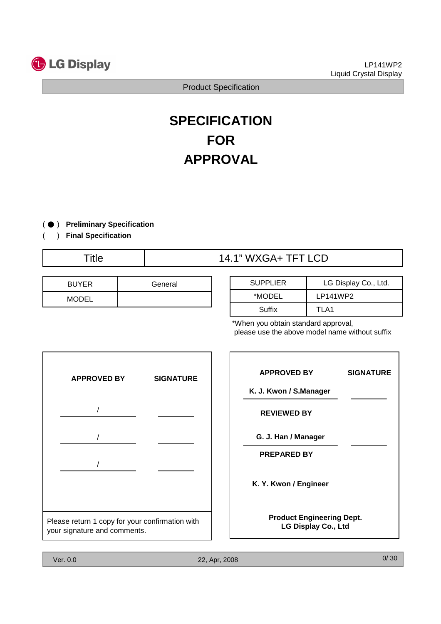

# **SPECIFICATION FOR APPROVAL**

) ( ● **Preliminary Specification**

) **Final Specification**

(

# Title 14.1" WXGA+ TFT LCD

| <b>BUYER</b> | General |
|--------------|---------|
| <b>MODEL</b> |         |

| <b>SUPPLIER</b> | LG Display Co., Ltd. |
|-----------------|----------------------|
| *MODEL          | LP141WP2             |
| Suffix          | TI A1                |

\*When you obtain standard approval, please use the above model name without suffix

| <b>APPROVED BY</b>                                                              | <b>SIGNATURE</b> |
|---------------------------------------------------------------------------------|------------------|
|                                                                                 |                  |
|                                                                                 |                  |
|                                                                                 |                  |
|                                                                                 |                  |
| Please return 1 copy for your confirmation with<br>your signature and comments. |                  |

| <b>APPROVED BY</b>                                             | <b>SIGNATURE</b> |
|----------------------------------------------------------------|------------------|
| K. J. Kwon / S.Manager                                         |                  |
| <b>REVIEWED BY</b>                                             |                  |
| G. J. Han / Manager                                            |                  |
| <b>PREPARED BY</b>                                             |                  |
| K. Y. Kwon / Engineer                                          |                  |
| <b>Product Engineering Dept.</b><br><b>LG Display Co., Ltd</b> |                  |

٦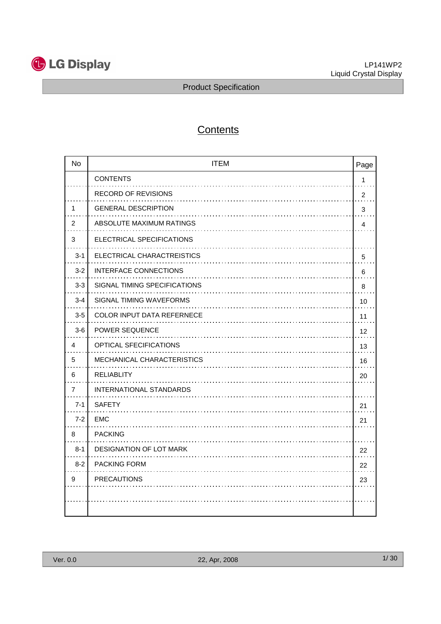

# **Contents**

| <b>No</b>      | <b>ITEM</b>                  | Page       |
|----------------|------------------------------|------------|
|                | <b>CONTENTS</b>              | 1          |
|                | RECORD OF REVISIONS          | 2          |
| 1              | <b>GENERAL DESCRIPTION</b>   | 3          |
| 2              | ABSOLUTE MAXIMUM RATINGS     | 4          |
| 3              | ELECTRICAL SPECIFICATIONS    |            |
| $3 - 1$        | ELECTRICAL CHARACTREISTICS   | $\sqrt{5}$ |
| $3 - 2$        | <b>INTERFACE CONNECTIONS</b> | 6          |
| $3-3$          | SIGNAL TIMING SPECIFICATIONS | 8          |
| $3 - 4$        | SIGNAL TIMING WAVEFORMS      | 10         |
| $3-5$          | COLOR INPUT DATA REFERNECE   | 11         |
| $3-6$          | POWER SEQUENCE               | 12         |
| 4              | OPTICAL SFECIFICATIONS       | 13         |
| 5              | MECHANICAL CHARACTERISTICS   | 16         |
| 6              | <b>RELIABLITY</b>            | 20         |
| $\overline{7}$ | INTERNATIONAL STANDARDS      |            |
| $7 - 1$        | <b>SAFETY</b>                | 21         |
| $7 - 2$        | EMC                          | 21         |
| 8              | <b>PACKING</b>               |            |
| $8 - 1$        | DESIGNATION OF LOT MARK      | 22         |
| $8 - 2$        | <b>PACKING FORM</b>          | 22         |
| 9              | <b>PRECAUTIONS</b>           | 23         |
|                |                              |            |
|                |                              |            |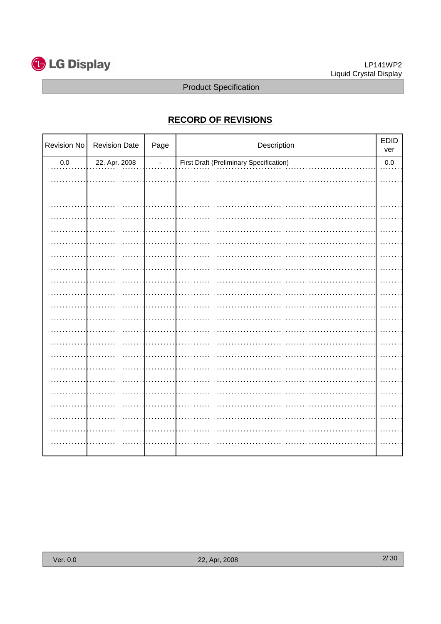

# **RECORD OF REVISIONS**

| Revision No | <b>Revision Date</b> | Page           | Description                                    | EDID<br>ver |
|-------------|----------------------|----------------|------------------------------------------------|-------------|
| $0.0\,$     | 22. Apr. 2008        | $\blacksquare$ | <b>First Draft (Preliminary Specification)</b> | $0.0\,$     |
|             |                      |                |                                                |             |
|             |                      |                |                                                |             |
|             |                      |                |                                                |             |
|             |                      |                |                                                |             |
|             |                      |                |                                                |             |
|             |                      |                |                                                |             |
|             |                      |                |                                                |             |
|             |                      |                |                                                |             |
|             |                      |                |                                                |             |
|             |                      |                |                                                |             |
|             |                      |                |                                                |             |
|             |                      |                |                                                |             |
|             |                      |                |                                                |             |
|             |                      |                |                                                |             |
|             |                      |                |                                                |             |
|             |                      |                |                                                |             |
|             |                      |                |                                                |             |
|             |                      |                |                                                |             |
|             |                      |                |                                                |             |
|             |                      |                |                                                |             |
|             |                      |                |                                                |             |
|             |                      |                |                                                |             |
|             |                      |                |                                                |             |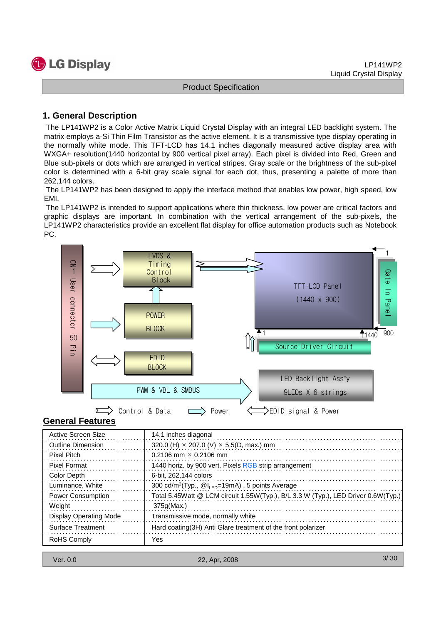#### **1. General Description**

The LP141WP2 is a Color Active Matrix Liquid Crystal Display with an integral LED backlight system. The matrix employs a-Si Thin Film Transistor as the active element. It is a transmissive type display operating in the normally white mode. This TFT-LCD has 14.1 inches diagonally measured active display area with WXGA+ resolution(1440 horizontal by 900 vertical pixel array). Each pixel is divided into Red, Green and Blue sub-pixels or dots which are arranged in vertical stripes. Gray scale or the brightness of the sub-pixel color is determined with a 6-bit gray scale signal for each dot, thus, presenting a palette of more than 262,144 colors.

The LP141WP2 has been designed to apply the interface method that enables low power, high speed, low EMI.

The LP141WP2 is intended to support applications where thin thickness, low power are critical factors and graphic displays are important. In combination with the vertical arrangement of the sub-pixels, the LP141WP2 characteristics provide an excellent flat display for office automation products such as Notebook PC.



#### **General Features**

| Active Screen Size            | 14.1 inches diagonal                                                              |
|-------------------------------|-----------------------------------------------------------------------------------|
| <b>Outline Dimension</b>      | 320.0 (H) $\times$ 207.0 (V) $\times$ 5.5(D, max.) mm                             |
| Pixel Pitch                   | $0.2106$ mm $\times$ 0.2106 mm                                                    |
| <b>Pixel Format</b>           | 1440 horiz. by 900 vert. Pixels RGB strip arrangement                             |
| Color Depth                   | 6-bit. 262.144 colors                                                             |
| Luminance, White              | 300 cd/m <sup>2</sup> (Typ., $@l_{LED} = 19mA$ ), 5 points Average                |
| <b>Power Consumption</b>      | Total 5.45Watt @ LCM circuit 1.55W(Typ.), B/L 3.3 W (Typ.), LED Driver 0.6W(Typ.) |
| Weight                        | 375q(Max.)                                                                        |
| <b>Display Operating Mode</b> | Transmissive mode, normally white                                                 |
| <b>Surface Treatment</b>      | Hard coating (3H) Anti Glare treatment of the front polarizer                     |
| RoHS Comply                   | Yes                                                                               |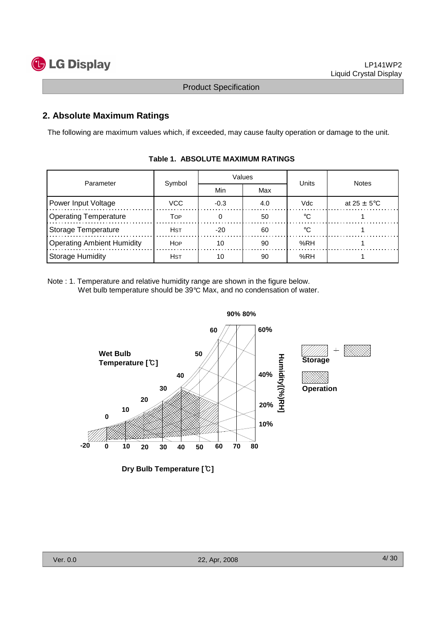

## **2. Absolute Maximum Ratings**

The following are maximum values which, if exceeded, may cause faulty operation or damage to the unit.

| Parameter                         | Symbol      |        | Values | Units   | <b>Notes</b>            |
|-----------------------------------|-------------|--------|--------|---------|-------------------------|
|                                   |             | Min    | Max    |         |                         |
| Power Input Voltage               | VCC         | $-0.3$ | 4.0    | Vdc     | at $25 \pm 5^{\circ}$ C |
| <b>Operating Temperature</b>      | Тор         |        | 50     | $\circ$ |                         |
| Storage Temperature               | Hst         | $-20$  | 60     | ം       |                         |
| <b>Operating Ambient Humidity</b> | <b>HOP</b>  | 10     | 90     | %RH     |                         |
| Storage Humidity                  | <b>H</b> st | 10     | 90     | %RH     |                         |

#### **Table 1. ABSOLUTE MAXIMUM RATINGS**

Note : 1. Temperature and relative humidity range are shown in the figure below. Wet bulb temperature should be 39°C Max, and no condensation of water.



**Dry Bulb Temperature [**℃**]**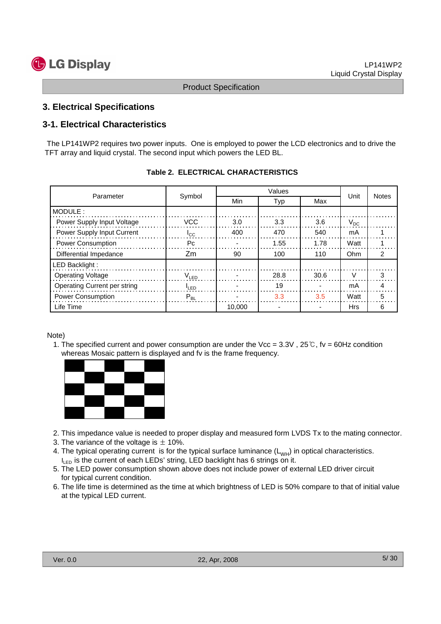

#### **3. Electrical Specifications**

## **3-1. Electrical Characteristics**

The LP141WP2 requires two power inputs. One is employed to power the LCD electronics and to drive the TFT array and liquid crystal. The second input which powers the LED BL.

|                              |                  |        | Values |      |            |              |
|------------------------------|------------------|--------|--------|------|------------|--------------|
| Parameter                    | Symbol           | Min    | Typ    | Max  | Unit       | <b>Notes</b> |
| MODULE:                      |                  |        |        |      |            |              |
| Power Supply Input Voltage   | VCC.             | 3.0    | 3.3    | 3.6  | $V_{DC}$   |              |
| Power Supply Input Current   | $I_{\rm CC}$     | 400    | 470    | 540  | mA         |              |
| <b>Power Consumption</b>     | Рc               |        | 1.55   | 1.78 | Watt       |              |
| Differential Impedance       | Zm               | 90     | 100    | 110  | Ohm        | 2            |
| LED Backlight:               |                  |        |        |      |            |              |
| <b>Operating Voltage</b>     | $V_{LED}$        |        | 28.8   | 30.6 | V          | 3            |
| Operating Current per string | <sup>I</sup> LED |        | 19     |      | mA         |              |
| <b>Power Consumption</b>     | $P_{BL}$         |        | 3.3    | 3.5  | Watt       | 5            |
| Life Time                    |                  | 10.000 |        |      | <b>Hrs</b> | 6            |

|  |  | <b>Table 2. ELECTRICAL CHARACTERISTICS</b> |  |
|--|--|--------------------------------------------|--|
|--|--|--------------------------------------------|--|

Note)

1. The specified current and power consumption are under the Vcc =  $3.3V$ ,  $25°C$ , fv =  $60Hz$  condition whereas Mosaic pattern is displayed and fv is the frame frequency.



- 2. This impedance value is needed to proper display and measured form LVDS Tx to the mating connector.
- 3. The variance of the voltage is  $\pm$  10%.
- 4. The typical operating current is for the typical surface luminance  $(L_{WH})$  in optical characteristics.  $I_{\text{LED}}$  is the current of each LEDs' string, LED backlight has 6 strings on it.
- 5. The LED power consumption shown above does not include power of external LED driver circuit for typical current condition.
- 6. The life time is determined as the time at which brightness of LED is 50% compare to that of initial value at the typical LED current.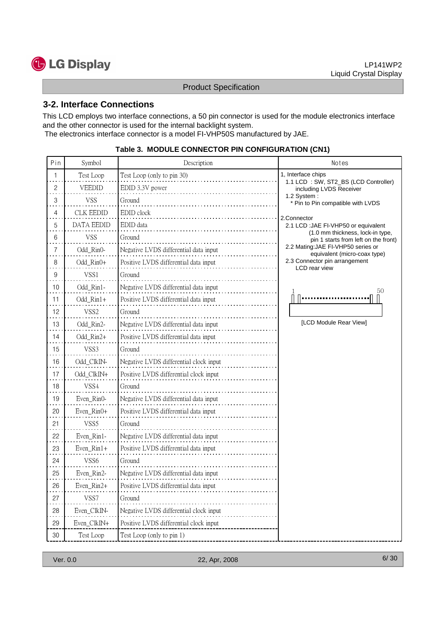

#### **3-2. Interface Connections**

This LCD employs two interface connections, a 50 pin connector is used for the module electronics interface and the other connector is used for the internal backlight system. The electronics interface connector is a model FI-VHP50S manufactured by JAE.

| Pin | Symbol           | Description                            | Notes                                                                    |
|-----|------------------|----------------------------------------|--------------------------------------------------------------------------|
| 1   | Test Loop        | Test Loop (only to pin 30)             | 1, Interface chips<br>1.1 LCD : SW, ST2_BS (LCD Controller)              |
| 2   | VEEDID           | EDID 3.3V power                        | including LVDS Receiver                                                  |
| 3   | VSS              | Ground                                 | 1.2 System:<br>* Pin to Pin compatible with LVDS                         |
| 4   | CLK EEDID        | EDID clock                             | 2.Connector                                                              |
| 5   | DATA EEDID       | EDID data                              | 2.1 LCD: JAE FI-VHP50 or equivalent                                      |
| 6   | VSS              | Ground                                 | (1.0 mm thickness, lock-in type,<br>pin 1 starts from left on the front) |
| 7   | Odd_Rin0-        | Negative LVDS differential data input  | 2.2 Mating: JAE FI-VHP50 series or<br>equivalent (micro-coax type)       |
| 8   | Odd_Rin0+        | Positive LVDS differential data input  | 2.3 Connector pin arrangement<br>LCD rear view                           |
| 9   | VSS1             | Ground                                 |                                                                          |
| 10  | Odd_Rin1-        | Negative LVDS differential data input  | 50                                                                       |
| 11  | Odd_Rin1+        | Positive LVDS differential data input  |                                                                          |
| 12  | VSS <sub>2</sub> | Ground                                 |                                                                          |
| 13  | Odd Rin2-        | Negative LVDS differential data input  | [LCD Module Rear View]                                                   |
| 14  | Odd_Rin2+        | Positive LVDS differential data input  |                                                                          |
| 15  | VSS3             | Ground                                 |                                                                          |
| 16  | Odd ClkIN-       | Negative LVDS differential clock input |                                                                          |
| 17  | Odd_ClkIN+       | Positive LVDS differential clock input |                                                                          |
| 18  | VSS4             | Ground                                 |                                                                          |
| 19  | Even_Rin0-       | Negative LVDS differential data input  |                                                                          |
| 20  | Even_Rin0+       | Positive LVDS differential data input  |                                                                          |
| 21  | VSS <sub>5</sub> | Ground                                 |                                                                          |
| 22  | Even_Rin1-       | Negative LVDS differential data input  |                                                                          |
| 23  | $Even_Rin1+$     | Positive LVDS differential data input  |                                                                          |
| 24  | VSS6             | Ground                                 |                                                                          |
| 25  | Even_Rin2-       | Negative LVDS differential data input  |                                                                          |
| 26  | Even_Rin2+       | Positive LVDS differential data input  |                                                                          |
| 27  | VSS7             | Ground                                 |                                                                          |
| 28  | Even ClkIN-      | Negative LVDS differential clock input |                                                                          |
| 29  | Even_ClkIN+      | Positive LVDS differential clock input |                                                                          |
| 30  | Test Loop        | Test Loop (only to pin 1)              |                                                                          |

#### **Table 3. MODULE CONNECTOR PIN CONFIGURATION (CN1)**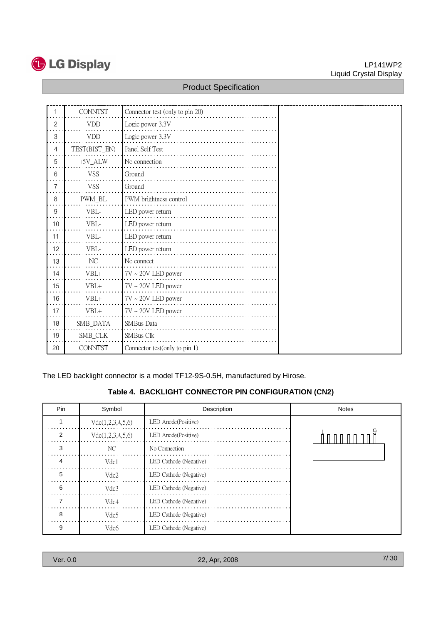

#### LP141WP2 Liquid Crystal Display

### Product Specification

|    | <b>CONNTST</b> | Connector test (only to pin 20) |
|----|----------------|---------------------------------|
| 2  | <b>VDD</b>     | Logic power 3.3V                |
| 3  | <b>VDD</b>     | Logic power 3.3V                |
| 4  | TEST(BIST_EN)  | Panel Self Test                 |
| 5  | $+5V_ALW$      | No connection                   |
| 6  | <b>VSS</b>     | Ground                          |
| 7  | <b>VSS</b>     | Ground                          |
| 8  | PWM_BL         | PWM brightness control          |
| 9  | VBL-           | LED power return                |
| 10 | VBL-           | LED power return                |
| 11 | VBL-           | LED power return                |
| 12 | VBL-           | LED power return                |
| 13 | NC             | No connect                      |
| 14 | $VBL+$         | $7V \sim 20V$ LED power         |
| 15 | $VBL+$         | $7V \sim 20V$ LED power         |
| 16 | $VBL+$         | $7V \sim 20V$ LED power         |
| 17 | $VBL+$         | $7V \sim 20V$ LED power         |
| 18 | SMB_DATA       | SMBus Data                      |
| 19 | SMB_CLK        | SMBus Clk                       |
| 20 | <b>CONNTST</b> | Connector test(only to pin 1)   |

The LED backlight connector is a model TF12-9S-0.5H, manufactured by Hirose.

#### **Table 4. BACKLIGHT CONNECTOR PIN CONFIGURATION (CN2)**

| Pin | Symbol           | Description            | <b>Notes</b> |
|-----|------------------|------------------------|--------------|
|     | Vdc(1,2,3,4,5,6) | LED Anode(Positive)    |              |
| 2   | Vdc(1,2,3,4,5,6) | LED Anode(Positive)    |              |
| 3   | NC.              | No Connection          |              |
|     | Vdc1             | LED Cathode (Negative) |              |
| 5   | Vdc2             | LED Cathode (Negative) |              |
| 6   | Vdc3             | LED Cathode (Negative) |              |
|     | Vdc4             | LED Cathode (Negative) |              |
| 8   | Vdc <sub>5</sub> | LED Cathode (Negative) |              |
| 9   | Vdc <sub>6</sub> | LED Cathode (Negative) |              |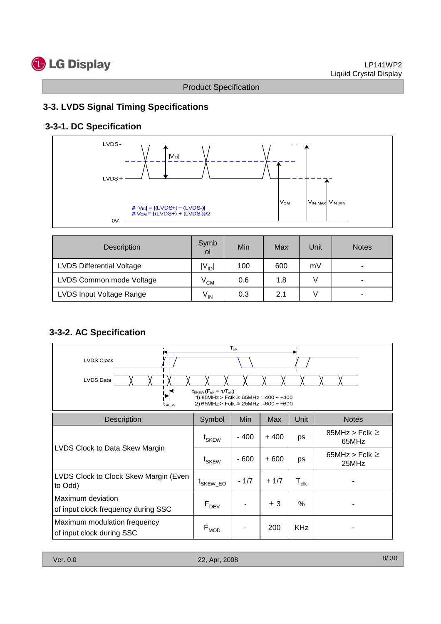# **3-3. LVDS Signal Timing Specifications**

# **3-3-1. DC Specification**



| <b>Description</b>               | Symb<br>οl | Min | Max | Unit | <b>Notes</b> |
|----------------------------------|------------|-----|-----|------|--------------|
| <b>LVDS Differential Voltage</b> | $IV_{ID}$  | 100 | 600 | mV   |              |
| LVDS Common mode Voltage         | $V_{CM}$   | 0.6 | 1.8 |      |              |
| LVDS Input Voltage Range         | $V_{IN}$   | 0.3 | 2.1 |      | -            |

# **3-3-2. AC Specification**

| $T_{\rm{clk}}$<br><b>LVDS Clock</b><br><b>LVDS Data</b><br>$t_{SKEW}$ ( $F_{clk}$ = 1/ $T_{clk}$ )<br>∩₹<br>1) 85MHz > Fclk $\geq$ 65MHz : -400 ~ +400<br>2) 65MHz > Fclk $\geq$ 25MHz : -600 $\sim$ +600<br>tskew |                             |        |            |                  |                              |  |  |
|--------------------------------------------------------------------------------------------------------------------------------------------------------------------------------------------------------------------|-----------------------------|--------|------------|------------------|------------------------------|--|--|
| <b>Description</b>                                                                                                                                                                                                 | Symbol                      | Min    | <b>Max</b> | Unit             | <b>Notes</b>                 |  |  |
|                                                                                                                                                                                                                    | t <sub>SKEW</sub>           | $-400$ | $+400$     | ps               | 85MHz > Fclk $\geq$<br>65MHz |  |  |
| LVDS Clock to Data Skew Margin                                                                                                                                                                                     | t <sub>SKEW</sub>           | - 600  | $+600$     | ps               | 65MHz > Fclk $\geq$<br>25MHz |  |  |
| LVDS Clock to Clock Skew Margin (Even<br>to Odd)                                                                                                                                                                   | <sup>L</sup> SKEW_EO        | $-1/7$ | $+1/7$     | $T_{\text{clk}}$ |                              |  |  |
| Maximum deviation<br>of input clock frequency during SSC                                                                                                                                                           | $F_{DEV}$                   |        | ± 3        | %                |                              |  |  |
| Maximum modulation frequency<br>of input clock during SSC                                                                                                                                                          | $\mathsf{F}_{\mathsf{MOD}}$ |        | 200        | <b>KHz</b>       |                              |  |  |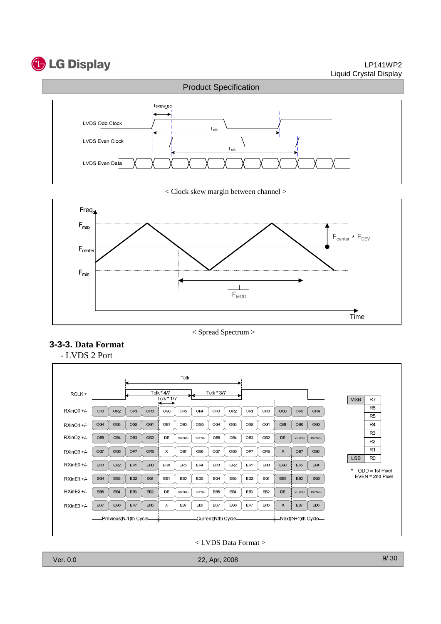# **C** LG Display

LP141WP2 Liquid Crystal Display



< Clock skew margin between channel >



< Spread Spectrum >





< LVDS Data Format >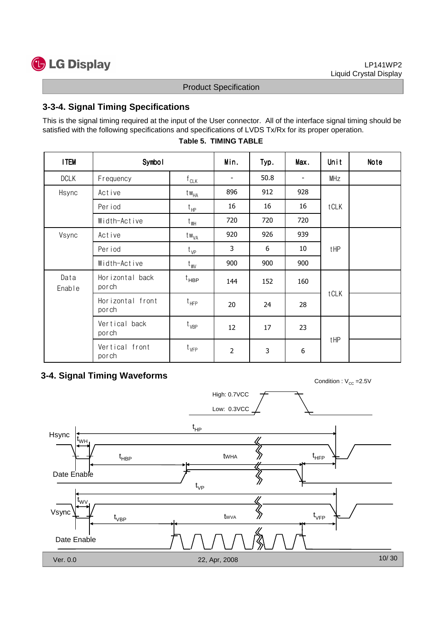

# **3-3-4. Signal Timing Specifications**

This is the signal timing required at the input of the User connector. All of the interface signal timing should be satisfied with the following specifications and specifications of LVDS Tx/Rx for its proper operation.

| <b>ITEM</b>    | Symbol                    | Min.                   | Typ.           | Max. | Unit                     | Note |  |
|----------------|---------------------------|------------------------|----------------|------|--------------------------|------|--|
| <b>DCLK</b>    | Frequency                 | f $c_{L\underline{K}}$ |                | 50.8 | $\overline{\phantom{a}}$ | MHz  |  |
| Hsync          | Active                    | $tw_{HA}$              | 896            | 912  | 928                      |      |  |
|                | Period                    | $t_{HP}$               | 16             | 16   | 16                       | tCLK |  |
|                | Width-Active              | $t_{WH}$               | 720            | 720  | 720                      |      |  |
| Vsync          | Active                    | t w <sub>VA</sub>      | 920            | 926  | 939                      |      |  |
|                | Per iod                   | $t_{VP}$               | 3              | 6    | 10                       | tHP  |  |
|                | Width-Active              | $t_{\text{WV}}$        | 900            | 900  | 900                      |      |  |
| Data<br>Enable | Horizontal back<br>porch  | $t_{\sf HBP}$          | 144            | 152  | 160                      |      |  |
|                | Horizontal front<br>porch | $t_{HFP}$              | 20             | 24   | 28                       | tCLK |  |
|                | Vertical back<br>porch    | $t_{VBP}$              | 12             | 17   | 23                       |      |  |
|                | Vertical front<br>porch   | $t_{VFP}$              | $\overline{2}$ | 3    | 6                        | tHP  |  |

#### **Table 5. TIMING TABLE**

# **3-4. Signal Timing Waveforms**

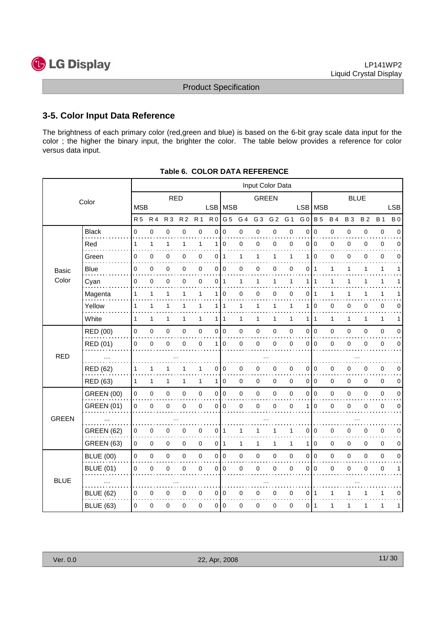

## **3-5. Color Input Data Reference**

The brightness of each primary color (red,green and blue) is based on the 6-bit gray scale data input for the color ; the higher the binary input, the brighter the color. The table below provides a reference for color versus data input.

|              |                   |                |              |                |                |                |                     |                |                | Input Color Data |                |              |                |                |              |                |             |              |             |
|--------------|-------------------|----------------|--------------|----------------|----------------|----------------|---------------------|----------------|----------------|------------------|----------------|--------------|----------------|----------------|--------------|----------------|-------------|--------------|-------------|
|              | Color             |                |              | <b>RED</b>     |                |                |                     |                |                | <b>GREEN</b>     |                |              |                |                |              | <b>BLUE</b>    |             |              |             |
|              |                   | <b>MSB</b>     |              |                |                |                |                     | LSB MSB        |                |                  |                |              |                | LSB   MSB      |              |                |             |              | <b>LSB</b>  |
|              |                   | <b>R5</b>      | <b>R4</b>    | R <sub>3</sub> | R <sub>2</sub> | R <sub>1</sub> | R <sub>0</sub>      | G 5            | G 4            | G <sub>3</sub>   | G <sub>2</sub> | G 1          | G <sub>0</sub> | <b>B</b> 5     | <b>B4</b>    | <b>B3</b>      | <b>B2</b>   | <b>B</b> 1   | <b>B</b> 0  |
|              | <b>Black</b>      | $\overline{0}$ | $\mathbf 0$  | 0              | $\mathbf 0$    | $\overline{0}$ | 0                   | $\mathbf 0$    | $\overline{0}$ | 0                | 0              | $\pmb{0}$    | $\mathbf 0$    | $\mathbf 0$    | $\mathsf 0$  | $\mathbf 0$    | 0           | $\mathbf 0$  | $\Omega$    |
|              | Red               | 1              | $\mathbf{1}$ | 1              | $\mathbf{1}$   | 1              | 1                   | 0              | 0              | 0                | 0              | 0            | 0              | $\mathbf 0$    | 0            | 0              | 0           | 0            | 0           |
|              | Green             | 0              | 0            | 0              | 0              | $\mathbf 0$    | 0                   | $\mathbf{1}$   | 1              | 1                | 1              | 1            | 1              | $\mathbf 0$    | 0            | 0              | 0           | 0            | 0           |
| <b>Basic</b> | Blue              | 0              | 0            | 0              | 0              | 0              | 0                   | 0              | 0              | 0                | 0              | 0            | 0              | -1             | 1            | 1              | 1           | 1            | 1           |
| Color        | Cyan              | 0              | 0            | 0              | 0              | $\mathbf 0$    | 0                   | $\mathbf{1}$   | 1              | 1                | $\mathbf{1}$   | 1            | 1              | $\mathbf{1}$   | $\mathbf{1}$ | 1              | 1           | $\mathbf{1}$ | 1           |
|              | Magenta           | 1              | 1            | 1              | 1              | 1              | 1                   | $\mathbf 0$    | 0              | 0                | 0              | 0            | 0              | 1              | 1            | 1              |             | 1            |             |
|              | Yellow            | 1              | 1            | 1              | 1              | 1              | 1 <sup>1</sup>      | $\mathbf{1}$   | 1              | 1                | $\mathbf{1}$   | 1            | 1              | l 0            | 0            | 0              | 0           | 0            | 0           |
|              | White             | $\mathbf{1}$   | $\mathbf{1}$ | 1              | $\mathbf{1}$   | $\mathbf{1}$   | $\mathbf{1}$        | $\mathbf{1}$   | 1              | $\mathbf{1}$     | $\mathbf{1}$   | 1            | 1              | $\overline{1}$ | 1            | 1              | 1           | 1            | 1           |
|              | RED (00)          | 0              | 0            | 0              | 0              | $\mathbf 0$    | $\overline{0}$      | $\overline{0}$ | 0              | $\mathbf 0$      | 0              | 0            | 0              | I٥             | 0            | $\mathbf 0$    | 0           | $\pmb{0}$    | 0           |
|              | RED (01)          | 0              | 0            | 0              | $\Omega$       | $\mathbf 0$    | 1                   | $\Omega$       | 0              | $\mathbf 0$      | 0              | $\mathbf 0$  | $\mathbf{0}$   | $\Omega$       | 0            | $\mathbf 0$    | 0           | $\mathbf 0$  | $\Omega$    |
| <b>RED</b>   |                   |                |              |                |                |                |                     |                |                |                  |                |              |                |                |              |                |             |              |             |
|              | <b>RED (62)</b>   | 1              | 1            | 1              |                | 1              | 0                   | 0              | 0              | 0                | 0              | 0            | 0              | $\mathbf 0$    | 0            | 0              | 0           | 0            | $\mathbf 0$ |
|              | <b>RED (63)</b>   | 1              | $\mathbf{1}$ | 1              | 1              | $\mathbf{1}$   | $\mathbf{1}$        | $\mathbf 0$    | 0              | $\mathbf 0$      | 0              | $\mathbf 0$  |                | 0 0            | 0            | $\mathbf 0$    | 0           | $\mathbf 0$  | 0           |
|              | <b>GREEN (00)</b> | 0              | 0            | 0              | 0              | $\pmb{0}$      | 0                   | $\pmb{0}$      | 0              | $\pmb{0}$        | $\pmb{0}$      | 0            | $\pmb{0}$      | l o            | 0            | $\overline{0}$ | $\mathbf 0$ | $\mathbf 0$  | $\Omega$    |
|              | <b>GREEN (01)</b> | 0              | 0            | 0              | 0              | $\mathbf 0$    | 0                   | 0              | 0              | 0                | $\pmb{0}$      | 0            | 1              | $\mathbf 0$    | 0            | 0              | 0           | $\mathbf 0$  | 0           |
| <b>GREEN</b> |                   |                |              |                |                |                |                     |                |                |                  |                |              |                |                |              |                |             |              |             |
|              | <b>GREEN (62)</b> | 0              | $\mathbf 0$  | 0              | 0              | 0              | 0                   | 1              | 1              | 1                | 1              | 1            | 0              | l 0            | 0            | 0              | 0           | 0            | $\mathbf 0$ |
|              | <b>GREEN (63)</b> | $\mathbf 0$    | 0            | 0              | 0              | $\mathbf 0$    | 0                   | $\mathbf{1}$   | 1              | $\mathbf{1}$     | $\mathbf{1}$   | $\mathbf{1}$ | 1              | $\mathbf 0$    | 0            | $\mathbf 0$    | $\mathbf 0$ | $\mathbf 0$  | 0           |
|              | <b>BLUE (00)</b>  | 0              | $\mathbf 0$  | 0              | 0              | $\mathbf 0$    | $\mathsf{O}\xspace$ | $\pmb{0}$      | 0              | $\boldsymbol{0}$ | $\pmb{0}$      | $\pmb{0}$    | 0              | 0              | $\mathbf 0$  | $\mathbf 0$    | $\mathbf 0$ | $\pmb{0}$    | $\Omega$    |
|              | <b>BLUE (01)</b>  | 0              | 0            | 0              | 0              | $\mathbf 0$    | 0                   | $\mathbf 0$    | 0              | 0                | 0              | $\mathbf 0$  | 0              | l 0            | 0            | 0              | 0           | $\mathbf 0$  | 1           |
| <b>BLUE</b>  |                   |                |              |                |                |                |                     |                |                |                  |                |              |                |                |              |                |             |              |             |
|              | <b>BLUE (62)</b>  | 0              | $\mathbf 0$  | 0              | 0              | 0              | 0                   | $\mathbf 0$    | 0              | 0                | 0              | 0            | 0 1            |                | 1            | 1              | 1           | 1            | 0           |
|              | <b>BLUE (63)</b>  | 0              | 0            | 0              | 0              | 0              | 0                   | 0              | 0              | 0                | 0              | 0            | 011            |                | 1            | 1              | 1           | 1            | 1           |
|              |                   |                |              |                |                |                |                     |                |                |                  |                |              |                |                |              |                |             |              |             |

|  | <b>Table 6. COLOR DATA REFERENCE</b> |
|--|--------------------------------------|
|  |                                      |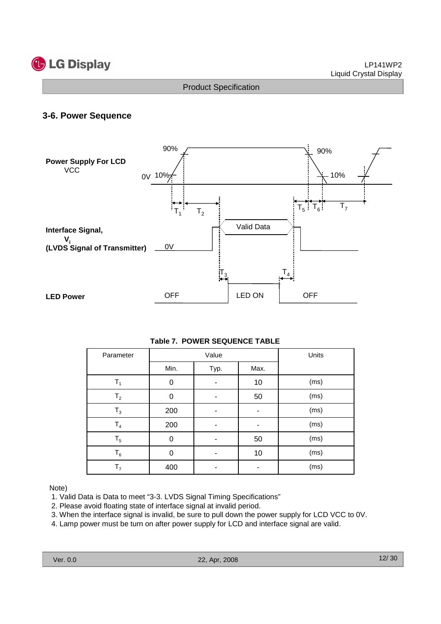

#### **3-6. Power Sequence**



#### **Table 7. POWER SEQUENCE TABLE**

| Parameter      |          | Value | Units |      |
|----------------|----------|-------|-------|------|
|                | Min.     | Typ.  | Max.  |      |
| $T_1$          | 0        |       | 10    | (ms) |
| T <sub>2</sub> | 0        |       | 50    | (ms) |
| $T_3$          | 200      |       |       | (ms) |
| $\mathsf{T}_4$ | 200      |       |       | (ms) |
| $\mathsf{T}_5$ | 0        |       | 50    | (ms) |
| $T_6$          | $\Omega$ |       | 10    | (ms) |
| T <sub>7</sub> | 400      |       |       | (ms) |

#### Note)

- 1. Valid Data is Data to meet "3-3. LVDS Signal Timing Specifications"
- 2. Please avoid floating state of interface signal at invalid period.
- 3. When the interface signal is invalid, be sure to pull down the power supply for LCD VCC to 0V.
- 4. Lamp power must be turn on after power supply for LCD and interface signal are valid.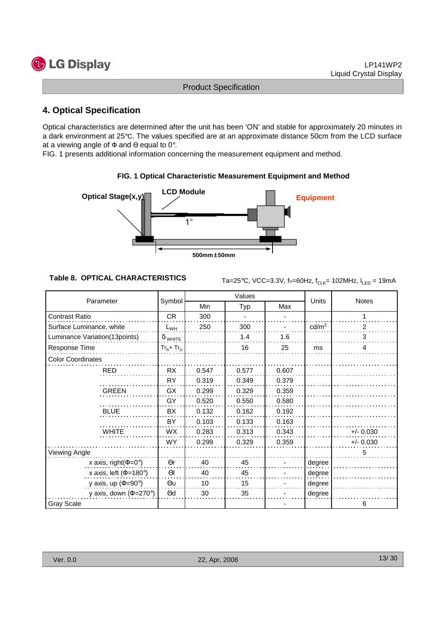# **C** LG Display

Product Specification

# **4. Optical Specification**

Optical characteristics are determined after the unit has been 'ON' and stable for approximately 20 minutes in a dark environment at 25°C. The values specified are at an approximate distance 50cm from the LCD surface at a viewing angle of  $\Phi$  and  $\Theta$  equal to 0°.

FIG. 1 presents additional information concerning the measurement equipment and method.



#### **FIG. 1 Optical Characteristic Measurement Equipment and Method**

**Table 8. OPTICAL CHARACTERISTICS**  $\text{Ta}=25^{\circ}\text{C}$ , VCC=3.3V, fv=60Hz, f<sub>CLK</sub>= 102MHz, I<sub>LED</sub> = 19mA

| Parameter                     | Symbol         |       | Values |       | Units             | <b>Notes</b> |  |
|-------------------------------|----------------|-------|--------|-------|-------------------|--------------|--|
|                               |                | Min   | Typ    | Max   |                   |              |  |
| <b>Contrast Ratio</b>         | <b>CR</b>      | 300   |        |       |                   | 1            |  |
| Surface Luminance, white      | $L_{WH}$       | 250   | 300    |       | cd/m <sup>2</sup> | 2            |  |
| Luminance Variation(13points) | $\delta$ white |       | 1.4    | 1.6   |                   | 3            |  |
| Response Time                 | $Tr_R + Tr_D$  |       | 16     | 25    | ms                | 4            |  |
| <b>Color Coordinates</b>      |                |       |        |       |                   |              |  |
| <b>RED</b>                    | <b>RX</b>      | 0.547 | 0.577  | 0.607 |                   |              |  |
|                               | <b>RY</b>      | 0.319 | 0.349  | 0.379 |                   |              |  |
| <b>GREEN</b>                  | GX             | 0.299 | 0.329  | 0.359 |                   |              |  |
|                               | GY             | 0.520 | 0.550  | 0.580 |                   |              |  |
| <b>BLUE</b>                   | <b>BX</b>      | 0.132 | 0.162  | 0.192 |                   |              |  |
|                               | BY             | 0.103 | 0.133  | 0.163 |                   |              |  |
| <b>WHITE</b>                  | <b>WX</b>      | 0.283 | 0.313  | 0.343 |                   | $+/- 0.030$  |  |
|                               | <b>WY</b>      | 0.299 | 0.329  | 0.359 |                   | $+/- 0.030$  |  |
| Viewing Angle                 |                |       |        |       |                   | 5            |  |
| x axis, right( $\Phi$ =0°)    | $\Theta$ r     | 40    | 45     |       | degree            |              |  |
| x axis, left ( $\Phi$ =180°)  | $\Theta$       | 40    | 45     |       | degree            |              |  |
| y axis, up ( $\Phi$ =90°)     | $\Theta$ u     | 10    | 15     |       | degree            |              |  |
| y axis, down ( $\Phi$ =270°)  | $\Theta$ d     | 30    | 35     |       | degree            |              |  |
| <b>Gray Scale</b>             |                |       |        |       |                   | 6            |  |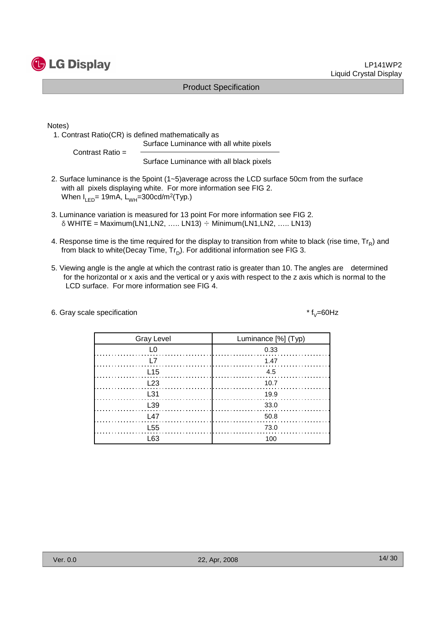

Notes)

1. Contrast Ratio(CR) is defined mathematically as Surface Luminance with all white pixels

Contrast Ratio =

Surface Luminance with all black pixels

- 2. Surface luminance is the 5point (1~5)average across the LCD surface 50cm from the surface with all pixels displaying white. For more information see FIG 2. When I<sub>LED</sub>= 19mA, L<sub>WH</sub>=300cd/m<sup>2</sup>(Typ.)
- 3. Luminance variation is measured for 13 point For more information see FIG 2.  $\delta$  WHITE = Maximum(LN1,LN2, ..... LN13)  $\div$  Minimum(LN1,LN2, ..... LN13)
- 4. Response time is the time required for the display to transition from white to black (rise time,  $\text{Tr}_{\textsf{\textsf{R}}}$ ) and from black to white(Decay Time,  $\mathsf{Tr}_{\mathsf{D}}$ ). For additional information see FIG 3.
- 5. Viewing angle is the angle at which the contrast ratio is greater than 10. The angles are determined for the horizontal or x axis and the vertical or y axis with respect to the z axis which is normal to the LCD surface. For more information see FIG 4.
- 6. Gray scale specification

\*  $f_y = 60$ Hz

| <b>Gray Level</b> | Luminance [%] (Typ) |
|-------------------|---------------------|
|                   | 0.33                |
|                   | 1.47                |
| L15               | $\frac{4.5}{2}$     |
| L23               | - 10.7              |
| L31               | 19.9                |
| L <sub>39</sub>   | 33.0                |
| L47               | 50.8                |
| L <sub>55</sub>   | 73.0                |
| l 63              | 100                 |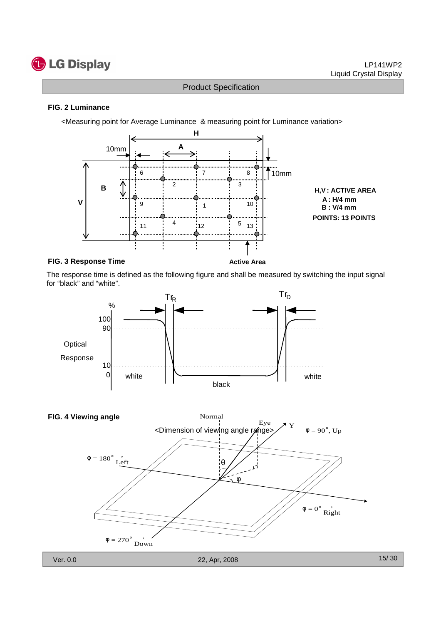

#### **FIG. 2 Luminance**

<Measuring point for Average Luminance & measuring point for Luminance variation>



#### **FIG. 3 Response Time**

**Active Area**

The response time is defined as the following figure and shall be measured by switching the input signal for "black" and "white".



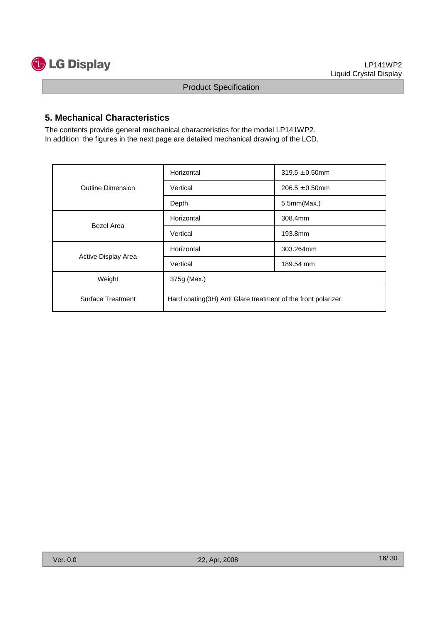

#### **5. Mechanical Characteristics**

The contents provide general mechanical characteristics for the model LP141WP2. In addition the figures in the next page are detailed mechanical drawing of the LCD.

|                          | Horizontal                                                   | $319.5 \pm 0.50$ mm |  |  |  |
|--------------------------|--------------------------------------------------------------|---------------------|--|--|--|
| <b>Outline Dimension</b> | Vertical                                                     | $206.5 \pm 0.50$ mm |  |  |  |
|                          | Depth                                                        | 5.5mm(Max.)         |  |  |  |
| Bezel Area               | Horizontal                                                   | 308.4mm             |  |  |  |
|                          | Vertical                                                     | 193.8mm             |  |  |  |
|                          | Horizontal                                                   | 303.264mm           |  |  |  |
| Active Display Area      | Vertical                                                     | 189.54 mm           |  |  |  |
| Weight                   | 375g (Max.)                                                  |                     |  |  |  |
| <b>Surface Treatment</b> | Hard coating(3H) Anti Glare treatment of the front polarizer |                     |  |  |  |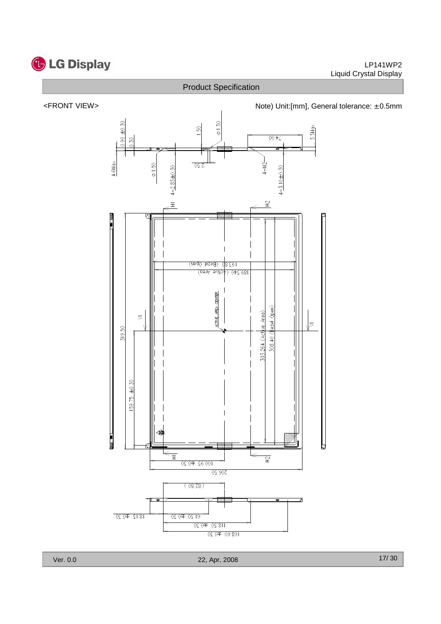





Ver. 0.0 22, Apr, 2008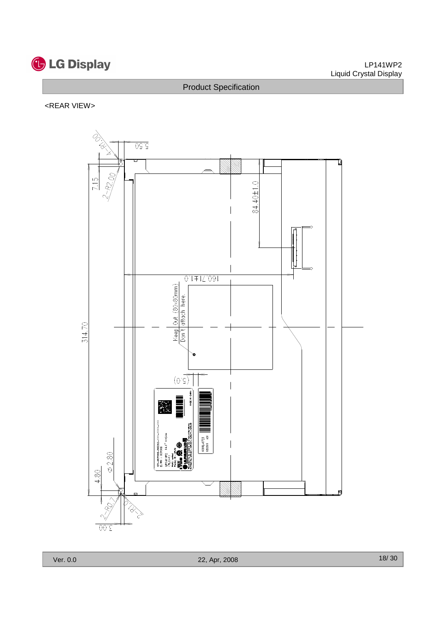

#### LP141WP2 Liquid Crystal Display

# Product Specification

#### <REAR VIEW>

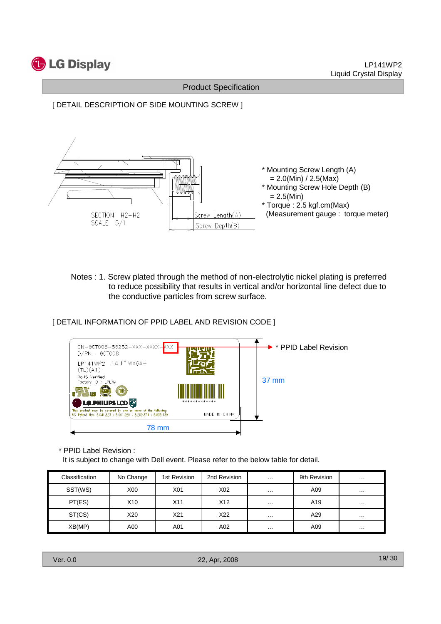





Notes : 1. Screw plated through the method of non-electrolytic nickel plating is preferred to reduce possibility that results in vertical and/or horizontal line defect due to the conductive particles from screw surface.

[ DETAIL INFORMATION OF PPID LABEL AND REVISION CODE ]



\* PPID Label Revision :

It is subject to change with Dell event. Please refer to the below table for detail.

| Classification | No Change        | 1st Revision    | 2nd Revision | $\cdots$ | 9th Revision | $\cdots$ |
|----------------|------------------|-----------------|--------------|----------|--------------|----------|
| SST(WS)        | X <sub>0</sub> 0 | X01             | X02          | $\cdots$ | A09          | $\cdots$ |
| PT(ES)         | X10              | X11             | X12          | $\cdots$ | A19          | $\cdots$ |
| ST(CS)         | X20              | X <sub>21</sub> | X22          | $\cdots$ | A29          | $\cdots$ |
| XB(MP)         | A00              | A01             | A02          | $\cdots$ | A09          | $\cdots$ |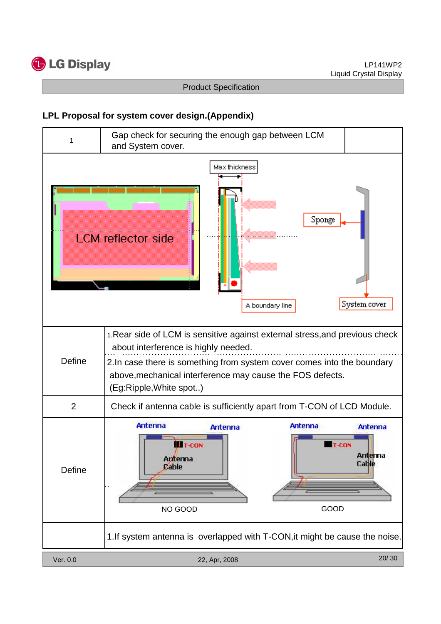

# **LPL Proposal for system cover design.(Appendix)**

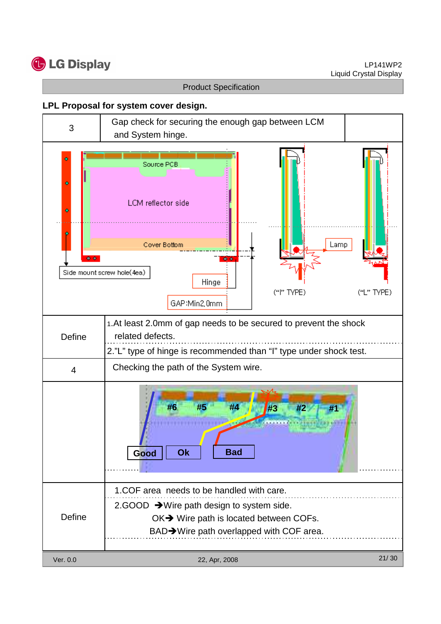

#### **LPL Proposal for system cover design.**

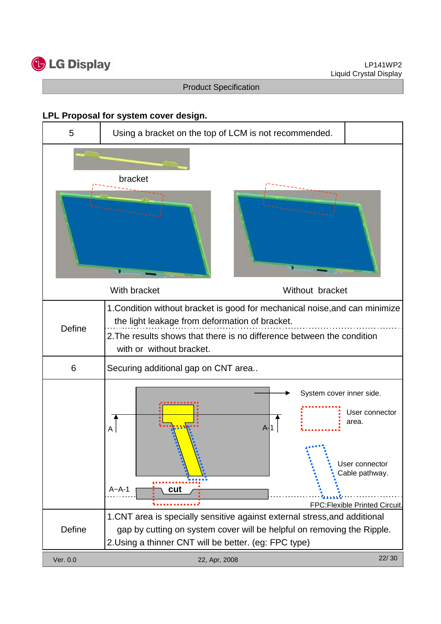

#### **LPL Proposal for system cover design.**

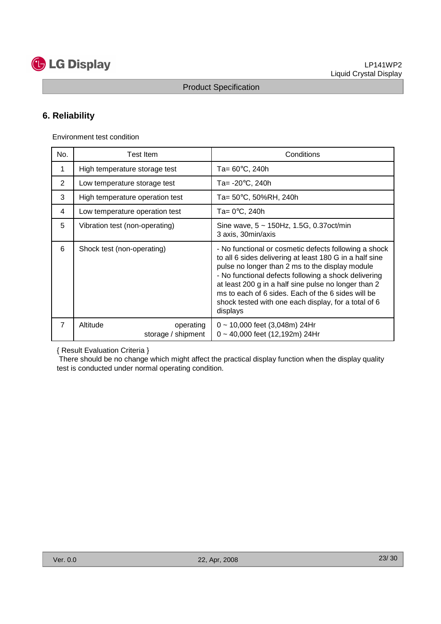

# **6. Reliability**

Environment test condition

| No.            | Test Item                                   | Conditions                                                                                                                                                                                                                                                                                                                                                                                                    |  |  |
|----------------|---------------------------------------------|---------------------------------------------------------------------------------------------------------------------------------------------------------------------------------------------------------------------------------------------------------------------------------------------------------------------------------------------------------------------------------------------------------------|--|--|
| 1              | High temperature storage test               | Ta= $60^{\circ}$ C, 240h                                                                                                                                                                                                                                                                                                                                                                                      |  |  |
| 2              | Low temperature storage test                | Ta= -20°C, 240h                                                                                                                                                                                                                                                                                                                                                                                               |  |  |
| 3              | High temperature operation test             | Ta= 50°C, 50%RH, 240h                                                                                                                                                                                                                                                                                                                                                                                         |  |  |
| 4              | Low temperature operation test              | Ta= $0^{\circ}$ C, 240h                                                                                                                                                                                                                                                                                                                                                                                       |  |  |
| 5              | Vibration test (non-operating)              | Sine wave, $5 \sim 150$ Hz, 1.5G, 0.37oct/min<br>3 axis, 30min/axis                                                                                                                                                                                                                                                                                                                                           |  |  |
| 6              | Shock test (non-operating)                  | - No functional or cosmetic defects following a shock<br>to all 6 sides delivering at least 180 G in a half sine<br>pulse no longer than 2 ms to the display module<br>- No functional defects following a shock delivering<br>at least 200 g in a half sine pulse no longer than 2<br>ms to each of 6 sides. Each of the 6 sides will be<br>shock tested with one each display, for a total of 6<br>displays |  |  |
| $\overline{7}$ | Altitude<br>operating<br>storage / shipment | $0 \sim 10,000$ feet (3,048m) 24Hr<br>$0 \sim 40,000$ feet (12,192m) 24Hr                                                                                                                                                                                                                                                                                                                                     |  |  |

{ Result Evaluation Criteria }

There should be no change which might affect the practical display function when the display quality test is conducted under normal operating condition.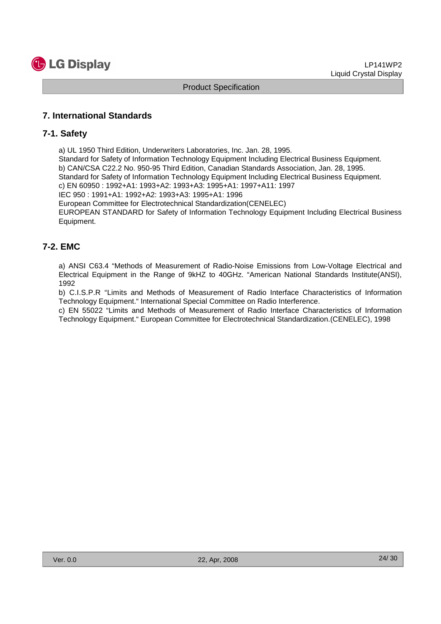

#### **7. International Standards**

#### **7-1. Safety**

a) UL 1950 Third Edition, Underwriters Laboratories, Inc. Jan. 28, 1995.

Standard for Safety of Information Technology Equipment Including Electrical Business Equipment. b) CAN/CSA C22.2 No. 950-95 Third Edition, Canadian Standards Association, Jan. 28, 1995. Standard for Safety of Information Technology Equipment Including Electrical Business Equipment. c) EN 60950 : 1992+A1: 1993+A2: 1993+A3: 1995+A1: 1997+A11: 1997

IEC 950 : 1991+A1: 1992+A2: 1993+A3: 1995+A1: 1996

European Committee for Electrotechnical Standardization(CENELEC)

EUROPEAN STANDARD for Safety of Information Technology Equipment Including Electrical Business Equipment.

# **7-2. EMC**

a) ANSI C63.4 "Methods of Measurement of Radio-Noise Emissions from Low-Voltage Electrical and Electrical Equipment in the Range of 9kHZ to 40GHz. "American National Standards Institute(ANSI), 1992

b) C.I.S.P.R "Limits and Methods of Measurement of Radio Interface Characteristics of Information Technology Equipment." International Special Committee on Radio Interference.

c) EN 55022 "Limits and Methods of Measurement of Radio Interface Characteristics of Information Technology Equipment." European Committee for Electrotechnical Standardization.(CENELEC), 1998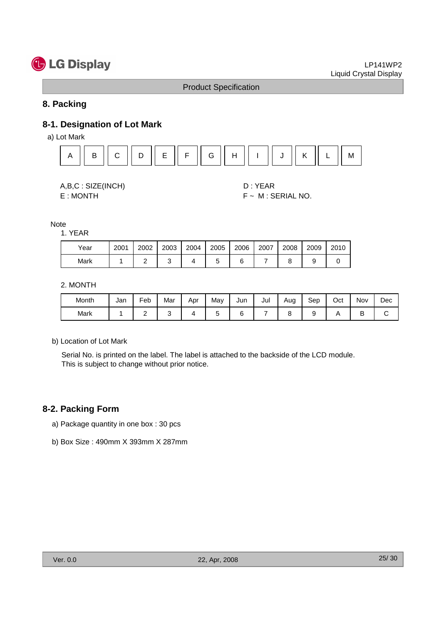# **G** LG Display

#### Product Specification

#### **8. Packing**

# **8-1. Designation of Lot Mark**

a) Lot Mark





E : MONTH F ~ M : SERIAL NO.

Note

1. YEAR

| Year | 2001 | 2002 | 2003 | 2004 | 2005 | 2006 | 2007 | 2008 | 2009 | 2010 |
|------|------|------|------|------|------|------|------|------|------|------|
| Mark |      |      |      |      |      |      |      |      |      |      |

2. MONTH

| Month | Jan | Feb | Mar | Apr | May | Jun | Jul | Aug | Sep | Oct | Nov | Dec |
|-------|-----|-----|-----|-----|-----|-----|-----|-----|-----|-----|-----|-----|
| Mark  |     | -   |     |     |     |     |     |     |     |     | ◡   |     |

b) Location of Lot Mark

Serial No. is printed on the label. The label is attached to the backside of the LCD module. This is subject to change without prior notice.

#### **8-2. Packing Form**

- a) Package quantity in one box : 30 pcs
- b) Box Size : 490mm X 393mm X 287mm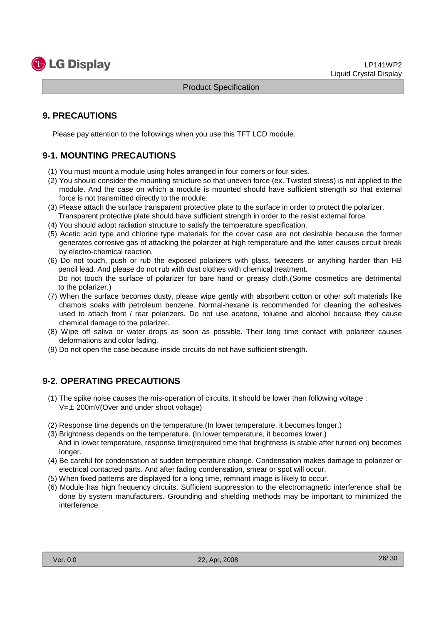

# **9. PRECAUTIONS**

Please pay attention to the followings when you use this TFT LCD module.

# **9-1. MOUNTING PRECAUTIONS**

- (1) You must mount a module using holes arranged in four corners or four sides.
- (2) You should consider the mounting structure so that uneven force (ex. Twisted stress) is not applied to the module. And the case on which a module is mounted should have sufficient strength so that external force is not transmitted directly to the module.
- (3) Please attach the surface transparent protective plate to the surface in order to protect the polarizer. Transparent protective plate should have sufficient strength in order to the resist external force.
- (4) You should adopt radiation structure to satisfy the temperature specification.
- (5) Acetic acid type and chlorine type materials for the cover case are not desirable because the former generates corrosive gas of attacking the polarizer at high temperature and the latter causes circuit break by electro-chemical reaction.
- (6) Do not touch, push or rub the exposed polarizers with glass, tweezers or anything harder than HB pencil lead. And please do not rub with dust clothes with chemical treatment. Do not touch the surface of polarizer for bare hand or greasy cloth.(Some cosmetics are detrimental to the polarizer.)
- (7) When the surface becomes dusty, please wipe gently with absorbent cotton or other soft materials like chamois soaks with petroleum benzene. Normal-hexane is recommended for cleaning the adhesives used to attach front / rear polarizers. Do not use acetone, toluene and alcohol because they cause chemical damage to the polarizer.
- (8) Wipe off saliva or water drops as soon as possible. Their long time contact with polarizer causes deformations and color fading.
- (9) Do not open the case because inside circuits do not have sufficient strength.

# **9-2. OPERATING PRECAUTIONS**

- (1) The spike noise causes the mis-operation of circuits. It should be lower than following voltage :  $V=\pm 200$ mV(Over and under shoot voltage)
- (2) Response time depends on the temperature.(In lower temperature, it becomes longer.)
- (3) Brightness depends on the temperature. (In lower temperature, it becomes lower.) And in lower temperature, response time(required time that brightness is stable after turned on) becomes longer.
- (4) Be careful for condensation at sudden temperature change. Condensation makes damage to polarizer or electrical contacted parts. And after fading condensation, smear or spot will occur.
- (5) When fixed patterns are displayed for a long time, remnant image is likely to occur.
- (6) Module has high frequency circuits. Sufficient suppression to the electromagnetic interference shall be done by system manufacturers. Grounding and shielding methods may be important to minimized the interference.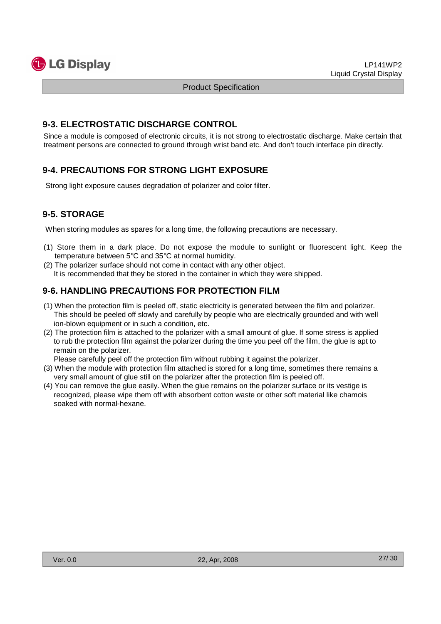

#### **9-3. ELECTROSTATIC DISCHARGE CONTROL**

Since a module is composed of electronic circuits, it is not strong to electrostatic discharge. Make certain that treatment persons are connected to ground through wrist band etc. And don't touch interface pin directly.

# **9-4. PRECAUTIONS FOR STRONG LIGHT EXPOSURE**

Strong light exposure causes degradation of polarizer and color filter.

# **9-5. STORAGE**

When storing modules as spares for a long time, the following precautions are necessary.

- (1) Store them in a dark place. Do not expose the module to sunlight or fluorescent light. Keep the temperature between 5°C and 35°C at normal humidity.
- (2) The polarizer surface should not come in contact with any other object. It is recommended that they be stored in the container in which they were shipped.

# **9-6. HANDLING PRECAUTIONS FOR PROTECTION FILM**

- (1) When the protection film is peeled off, static electricity is generated between the film and polarizer. This should be peeled off slowly and carefully by people who are electrically grounded and with well ion-blown equipment or in such a condition, etc.
- (2) The protection film is attached to the polarizer with a small amount of glue. If some stress is applied to rub the protection film against the polarizer during the time you peel off the film, the glue is apt to remain on the polarizer.

Please carefully peel off the protection film without rubbing it against the polarizer.

- (3) When the module with protection film attached is stored for a long time, sometimes there remains a very small amount of glue still on the polarizer after the protection film is peeled off.
- (4) You can remove the glue easily. When the glue remains on the polarizer surface or its vestige is recognized, please wipe them off with absorbent cotton waste or other soft material like chamois soaked with normal-hexane.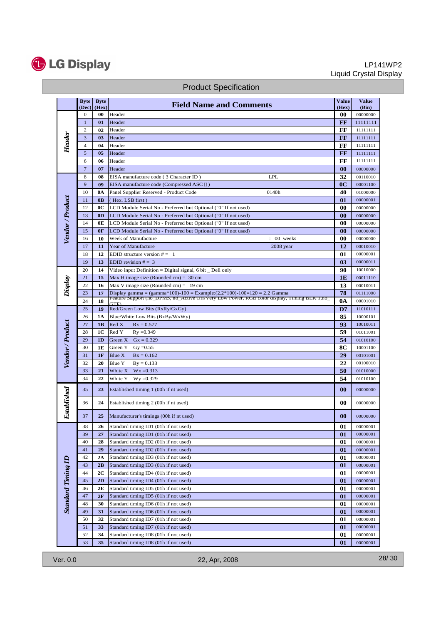

#### LP141WP2 Liquid Crystal Display

|                           | <b>Byte</b><br>(Dec) | <b>Byte</b><br>(Hex) | <b>Field Name and Comments</b>                                                              | <b>Value</b><br>(Hex) | <b>Value</b><br>(Bin) |
|---------------------------|----------------------|----------------------|---------------------------------------------------------------------------------------------|-----------------------|-----------------------|
|                           | 0                    | 00                   | Header                                                                                      | 00                    | 00000000              |
| Header                    | $\mathbf{1}$         | 01                   | Header                                                                                      | FF                    | 11111111              |
|                           | 2                    | 02                   | Header                                                                                      | FF                    | 11111111              |
|                           | 3                    | 03                   | Header                                                                                      | FF                    | 11111111              |
|                           | $\overline{4}$       | 04                   | Header                                                                                      | FF                    | 11111111              |
|                           | 5                    | 05                   | Header                                                                                      | FF                    | 11111111              |
|                           | 6                    | 06                   | Header                                                                                      | FF                    | 11111111              |
|                           | $\overline{7}$       | 07                   | Header                                                                                      | 00                    | 00000000              |
|                           | 8                    | 08                   | <b>LPL</b><br>EISA manufacture code (3 Character ID)                                        | 32                    | 00110010              |
|                           | 9                    | 09                   | EISA manufacture code (Compressed ASC II)                                                   | 0 <sup>C</sup>        | 00001100              |
|                           | 10                   | 0A                   | Panel Supplier Reserved - Product Code<br>0140h                                             | 40                    | 01000000              |
|                           | 11                   | 0 <sub>B</sub>       | (Hex. LSB first)                                                                            | 01                    | 00000001              |
|                           | 12                   | 0C                   | LCD Module Serial No - Preferred but Optional ("0" If not used)                             | 00                    | 00000000              |
|                           | 13                   | 0 <sub>D</sub>       | LCD Module Serial No - Preferred but Optional ("0" If not used)                             | 00                    | 00000000              |
|                           | 14                   | 0E                   | LCD Module Serial No - Preferred but Optional ("0" If not used)                             | 00                    | 00000000              |
| Vendor / Product          | 15                   | 0F                   | LCD Module Serial No - Preferred but Optional ("0" If not used)                             | 00                    | 00000000              |
|                           | 16                   | 10                   | Week of Manufacture<br>$: 00$ weeks                                                         | 00                    | 00000000              |
|                           | 17                   | 11                   | Year of Manufacture<br>2008 year                                                            | 12                    | 00010010              |
|                           | 18                   | 12                   | EDID structure version $# = 1$                                                              | 01                    | 00000001              |
|                           | 19                   | 13                   | EDID revision $# = 3$                                                                       | 03                    | 00000011              |
|                           | 20                   | 14                   | Video input Definition = Digital signal, 6 bit $\Box$ Dell only                             | 90                    | 10010000              |
| Display                   | 21                   | 15                   | Max H image size (Rounded cm) = $30 \text{ cm}$                                             | 1E                    | 00011110              |
|                           | 22                   | 16                   | Max V image size (Rounded cm) = $19 \text{ cm}$                                             | 13                    | 00010011              |
|                           | 23                   | 17                   | Display gamma = $(gamma*100)-100$ = Example: $(2.2*100)-100=120$ = 2.2 Gamma                | 78                    | 01111000              |
|                           | 24                   | 18                   | Feature Support (no_DPMS, no_Active Off/Very Low Power, RGB color display, Timing BLK 1,no_ | 0A                    | 00001010              |
|                           | 25                   | 19                   | Red/Green Low Bits (RxRy/GxGy)                                                              | D7                    | 11010111              |
|                           | 26                   | 1A                   | Blue/White Low Bits (BxBy/WxWy)                                                             | 85                    | 10000101              |
|                           | 27                   | 1B                   | Red X<br>$Rx = 0.577$                                                                       | 93                    | 10010011              |
|                           | 28                   | 1C                   | Red Y<br>$Ry = 0.349$                                                                       | 59                    | 01011001              |
|                           | 29                   | 1D                   | Green $X$ Gx = 0.329                                                                        | 54                    | 01010100              |
|                           | 30                   | 1E                   | Green Y<br>$Gy = 0.55$                                                                      | 8C                    | 10001100              |
| Vendor / Product          | 31                   | 1F                   | <b>Blue X</b><br>$Bx = 0.162$                                                               | 29                    | 00101001              |
|                           | 32                   | 20                   | Blue Y<br>$By = 0.133$                                                                      | 22                    | 00100010              |
|                           | 33                   | 21                   | White X<br>$Wx = 0.313$                                                                     | 50                    | 01010000              |
|                           | 34                   | 22                   | White Y<br>$Wy = 0.329$                                                                     | 54                    | 01010100              |
|                           | 35                   | 23                   | Established timing 1 (00h if nt used)                                                       | $\bf{00}$             | 00000000              |
| Established               | 36                   | 24                   | Established timing 2 (00h if nt used)                                                       | 00                    | 00000000              |
|                           | 37                   | 25                   | Manufacturer's timings (00h if nt used)                                                     | 00                    | 00000000              |
|                           | 38                   | 26                   | Standard timing ID1 (01h if not used)                                                       | 01                    | 00000001              |
|                           | 39                   | 27                   | Standard timing ID1 (01h if not used)                                                       | 01                    | 00000001              |
|                           | 40                   | 28                   | Standard timing ID2 (01h if not used)                                                       | 01                    | 00000001              |
|                           | 41                   | 29                   | Standard timing ID2 (01h if not used)                                                       | 01                    | 00000001              |
|                           | 42                   | 2A                   | Standard timing ID3 (01h if not used)                                                       | 01                    | 00000001              |
|                           | 43                   | 2B                   | Standard timing ID3 (01h if not used)                                                       | 01                    | 00000001              |
| <b>Standard Timing ID</b> | 44                   | 2C                   | Standard timing ID4 (01h if not used)                                                       | 01                    | 00000001              |
|                           | 45                   | 2D                   | Standard timing ID4 (01h if not used)                                                       | 01                    | 00000001              |
|                           | 46                   | 2Е                   | Standard timing ID5 (01h if not used)                                                       | 01                    | 00000001              |
|                           | 47                   | 2F                   | Standard timing ID5 (01h if not used)                                                       | 01                    | 00000001              |
|                           | 48                   | 30                   | Standard timing ID6 (01h if not used)                                                       | 01                    | 00000001              |
|                           | 49                   | 31                   | Standard timing ID6 (01h if not used)                                                       | 01                    | 00000001              |
|                           | 50                   | 32                   | Standard timing ID7 (01h if not used)                                                       | 01                    | 00000001              |
|                           | 51                   | 33                   | Standard timing ID7 (01h if not used)                                                       | 01                    | 00000001              |
|                           | 52                   | 34                   | Standard timing ID8 (01h if not used)                                                       | 01                    | 00000001              |
|                           | 53                   | 35                   | Standard timing ID8 (01h if not used)                                                       | 01                    | 00000001              |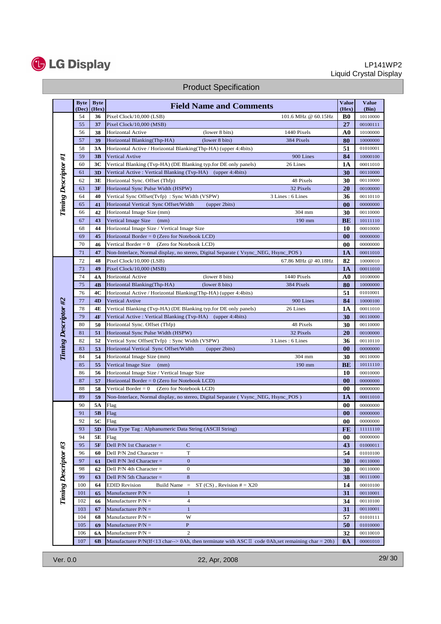

#### LP141WP2 Liquid Crystal Display

|                             | <b>Byte</b><br>(Dec) | <b>Byte</b><br>(Hex) | <b>Field Name and Comments</b>                                                                               | <b>Value</b><br>(Hex) | <b>Value</b><br>(Bin) |
|-----------------------------|----------------------|----------------------|--------------------------------------------------------------------------------------------------------------|-----------------------|-----------------------|
|                             | 54                   | 36                   | 101.6 MHz @ 60.15Hz<br>Pixel Clock/10,000 (LSB)                                                              | B <sub>0</sub>        | 10110000              |
|                             | 55                   | 37                   | Pixel Clock/10,000 (MSB)                                                                                     | 27                    | 00100111              |
|                             | 56                   | 38                   | (lower 8 bits)<br>1440 Pixels<br><b>Horizontal Active</b>                                                    | A0                    | 10100000              |
|                             | 57                   | 39                   | Horizontal Blanking(Thp-HA)<br>(lower 8 bits)<br>384 Pixels                                                  | 80                    | 10000000              |
|                             | 58                   | 3A                   | Horizontal Active / Horizontal Blanking(Thp-HA) (upper 4:4bits)                                              | 51                    | 01010001              |
|                             | 59                   | 3B                   | 900 Lines<br><b>Vertical Avtive</b>                                                                          | 84                    | 10000100              |
| Timing Descriptor #1        | 60                   | 3C                   | Vertical Blanking (Tvp-HA) (DE Blanking typ.for DE only panels)<br>26 Lines                                  | 1A                    | 00011010              |
|                             | 61                   | 3D                   | Vertical Active: Vertical Blanking (Tvp-HA) (upper 4:4bits)                                                  | 30                    | 00110000              |
|                             | 62                   | 3E                   | Horizontal Sync. Offset (Thfp)<br>48 Pixels                                                                  | 30                    | 00110000              |
|                             | 63                   | 3F                   | 32 Pixels<br>Horizontal Sync Pulse Width (HSPW)                                                              | 20                    | 00100000              |
|                             | 64                   | 40                   | 3 Lines: 6 Lines<br>Vertical Sync Offset(Tvfp): Sync Width (VSPW)                                            | 36                    | 00110110              |
|                             | 65                   | 41                   | Horizontal Vertical Sync Offset/Width<br>(upper 2bits)                                                       | $\bf{00}$             | 00000000              |
|                             | 66                   | 42                   | 304 mm<br>Horizontal Image Size (mm)                                                                         | 30                    | 00110000              |
|                             | 67                   | 43                   | Vertical Image Size<br>190 mm<br>(mm)                                                                        | <b>BE</b>             | 10111110              |
|                             | 68                   | 44                   | Horizontal Image Size / Vertical Image Size                                                                  | 10                    | 00010000              |
|                             | 69                   | 45                   | Horizontal Border = $0$ (Zero for Notebook LCD)                                                              | 00                    | 00000000              |
|                             | 70                   | 46                   | (Zero for Notebook LCD)<br>Vertical Border = $0$                                                             | 00                    | 00000000              |
|                             | 71                   | 47                   | Non-Interlace, Normal display, no stereo, Digital Separate (Vsync_NEG, Hsync_POS)                            | 1A                    | 00011010              |
|                             | 72                   | 48                   | 67.86 MHz @ 40.18Hz<br>Pixel Clock/10,000 (LSB)                                                              | 82                    | 10000010              |
|                             | 73                   | 49                   | Pixel Clock/10,000 (MSB)                                                                                     | <b>1A</b>             | 00011010              |
|                             | 74                   | 4A                   | 1440 Pixels<br>Horizontal Active<br>(lower 8 bits)                                                           | A <sub>0</sub>        | 10100000              |
|                             | 75                   | 4B                   | Horizontal Blanking(Thp-HA)<br>(lower 8 bits)<br>384 Pixels                                                  | 80                    | 10000000              |
|                             | 76                   | 4C                   | Horizontal Active / Horizontal Blanking(Thp-HA) (upper 4:4bits)                                              | 51                    | 01010001              |
|                             | 77                   | 4D                   | 900 Lines<br><b>Vertical Avtive</b>                                                                          | 84                    | 10000100              |
|                             | 78                   | 4E                   | 26 Lines<br>Vertical Blanking (Tvp-HA) (DE Blanking typ.for DE only panels)                                  | <b>1A</b>             | 00011010              |
|                             | 79                   | 4F                   | Vertical Active : Vertical Blanking (Tvp-HA) (upper 4:4bits)                                                 | 30                    | 00110000              |
|                             | 80                   | 50                   | Horizontal Sync. Offset (Thfp)<br>48 Pixels                                                                  | 30                    | 00110000              |
| <b>Timing Descriptor #2</b> | 81                   | 51                   | Horizontal Sync Pulse Width (HSPW)<br>32 Pixels                                                              | 20                    | 00100000              |
|                             | 82                   | 52                   | Vertical Sync Offset(Tvfp): Sync Width (VSPW)<br>3 Lines: 6 Lines                                            | 36                    | 00110110              |
|                             | 83                   | 53                   | Horizontal Vertical Sync Offset/Width<br>(upper 2bits)                                                       | $\bf{00}$             | 00000000              |
|                             | 84                   | 54                   | Horizontal Image Size (mm)<br>304 mm                                                                         | 30                    | 00110000              |
|                             | 85                   | 55                   | Vertical Image Size<br>190 mm<br>(mm)                                                                        | <b>BE</b>             | 10111110              |
|                             | 86                   | 56                   | Horizontal Image Size / Vertical Image Size                                                                  | 10                    | 00010000              |
|                             | 87                   | 57                   | Horizontal Border = $0$ (Zero for Notebook LCD)                                                              | $\bf{00}$             | 00000000              |
|                             | 88                   | 58                   | Vertical Border = $0$<br>(Zero for Notebook LCD)                                                             | 00                    | 00000000              |
|                             | 89                   | 59                   | Non-Interlace, Normal display, no stereo, Digital Separate (Vsync_NEG, Hsync_POS)                            | 1A                    | 00011010              |
|                             | 90                   | 5A                   | Flag                                                                                                         | 00                    | 00000000              |
|                             | 91                   | 5B                   | Flag                                                                                                         | $\bf{00}$             | 00000000              |
|                             | 92                   | 5C                   | Flag                                                                                                         | 00                    | 00000000              |
|                             | 93                   | 5D                   | Data Type Tag : Alphanumeric Data String (ASCII String)                                                      | FE                    | 11111110              |
|                             | 94                   | 5Е                   | Flag                                                                                                         | 00                    | 00000000              |
|                             | 95                   | 5F                   | Dell $P/N$ 1st Character =<br>C                                                                              | 43                    | 01000011              |
|                             | 96                   | 60                   | Dell P/N 2nd Character =<br>T                                                                                | 54                    | 01010100              |
|                             | 97                   | 61                   | Dell $P/N$ 3rd Character =<br>$\boldsymbol{0}$                                                               | 30                    | 00110000              |
| Timing Descriptor #3        | 98                   | 62                   | Dell $P/N$ 4th Character =<br>$\boldsymbol{0}$                                                               | 30                    | 00110000              |
|                             | 99                   | 63                   | Dell P/N 5th Character =<br>$\,8\,$                                                                          | 38                    | 00111000              |
|                             | 100                  | 64                   | <b>EDID Revision</b><br><b>Build Name</b><br>ST $(CS)$ , Revision $# = X20$<br>$\equiv$                      | 14                    | 00010100              |
|                             | 101                  | 65                   | Manufacturer $P/N =$<br>$\mathbf{1}$                                                                         | 31                    | 00110001              |
|                             | 102                  | 66                   | Manufacturer $P/N =$<br>4                                                                                    | 34                    | 00110100              |
|                             | 103                  | 67                   | $\mathbf{1}$<br>Manufacturer $P/N =$                                                                         | 31                    | 00110001              |
|                             | 104                  | 68                   | Manufacturer $P/N =$<br>W                                                                                    | 57                    | 01010111              |
|                             | 105                  | 69                   | Manufacturer $P/N =$<br>$\mathbf{P}$                                                                         | 50                    | 01010000              |
|                             | 106                  | 6A                   | Manufacturer $P/N =$<br>$\overline{c}$                                                                       | 32                    | 00110010              |
|                             | 107                  | 6B                   | Manufacturer P/N(If<13 char--> 0Ah, then terminate with ASC $\mathbb{I}$ code 0Ah, set remaining char = 20h) | 0A                    | 00001010              |

# Product Specification